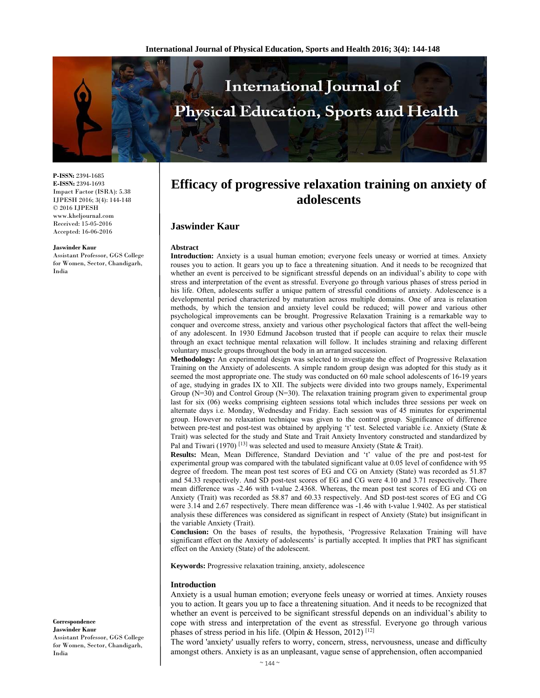

**P-ISSN:** 2394-1685 **E-ISSN:** 2394-1693 Impact Factor (ISRA): 5.38 IJPESH 2016; 3(4): 144-148 © 2016 IJPESH www.kheljournal.com Received: 15-05-2016 Accepted: 16-06-2016

#### **Jaswinder Kaur**

Assistant Professor, GGS College for Women, Sector, Chandigarh, India

**Efficacy of progressive relaxation training on anxiety of adolescents** 

### **Jaswinder Kaur**

#### **Abstract**

**Introduction:** Anxiety is a usual human emotion; everyone feels uneasy or worried at times. Anxiety rouses you to action. It gears you up to face a threatening situation. And it needs to be recognized that whether an event is perceived to be significant stressful depends on an individual's ability to cope with stress and interpretation of the event as stressful. Everyone go through various phases of stress period in his life. Often, adolescents suffer a unique pattern of stressful conditions of anxiety. Adolescence is a developmental period characterized by maturation across multiple domains. One of area is relaxation methods, by which the tension and anxiety level could be reduced; will power and various other psychological improvements can be brought. Progressive Relaxation Training is a remarkable way to conquer and overcome stress, anxiety and various other psychological factors that affect the well-being of any adolescent. In 1930 Edmund Jacobson trusted that if people can acquire to relax their muscle through an exact technique mental relaxation will follow. It includes straining and relaxing different voluntary muscle groups throughout the body in an arranged succession.

**Methodology:** An experimental design was selected to investigate the effect of Progressive Relaxation Training on the Anxiety of adolescents. A simple random group design was adopted for this study as it seemed the most appropriate one. The study was conducted on 60 male school adolescents of 16-19 years of age, studying in grades IX to XII. The subjects were divided into two groups namely, Experimental Group  $(N=30)$  and Control Group  $(N=30)$ . The relaxation training program given to experimental group last for six (06) weeks comprising eighteen sessions total which includes three sessions per week on alternate days i.e. Monday, Wednesday and Friday. Each session was of 45 minutes for experimental group. However no relaxation technique was given to the control group. Significance of difference between pre-test and post-test was obtained by applying 't' test. Selected variable i.e. Anxiety (State & Trait) was selected for the study and State and Trait Anxiety Inventory constructed and standardized by Pal and Tiwari (1970) <sup>[13]</sup> was selected and used to measure Anxiety (State & Trait).

**Results:** Mean, Mean Difference, Standard Deviation and 't' value of the pre and post-test for experimental group was compared with the tabulated significant value at 0.05 level of confidence with 95 degree of freedom. The mean post test scores of EG and CG on Anxiety (State) was recorded as 51.87 and 54.33 respectively. And SD post-test scores of EG and CG were 4.10 and 3.71 respectively. There mean difference was -2.46 with t-value 2.4368. Whereas, the mean post test scores of EG and CG on Anxiety (Trait) was recorded as 58.87 and 60.33 respectively. And SD post-test scores of EG and CG were 3.14 and 2.67 respectively. There mean difference was -1.46 with t-value 1.9402. As per statistical analysis these differences was considered as significant in respect of Anxiety (State) but insignificant in the variable Anxiety (Trait).

**Conclusion:** On the bases of results, the hypothesis, 'Progressive Relaxation Training will have significant effect on the Anxiety of adolescents' is partially accepted. It implies that PRT has significant effect on the Anxiety (State) of the adolescent.

**Keywords:** Progressive relaxation training, anxiety, adolescence

### **Introduction**

Anxiety is a usual human emotion; everyone feels uneasy or worried at times. Anxiety rouses you to action. It gears you up to face a threatening situation. And it needs to be recognized that whether an event is perceived to be significant stressful depends on an individual's ability to cope with stress and interpretation of the event as stressful. Everyone go through various phases of stress period in his life. (Olpin & Hesson, 2012)<sup>[12]</sup>

The word 'anxiety' usually refers to worry, concern, stress, nervousness, unease and difficulty amongst others. Anxiety is as an unpleasant, vague sense of apprehension, often accompanied

**Correspondence Jaswinder Kaur**  Assistant Professor, GGS College for Women, Sector, Chandigarh, India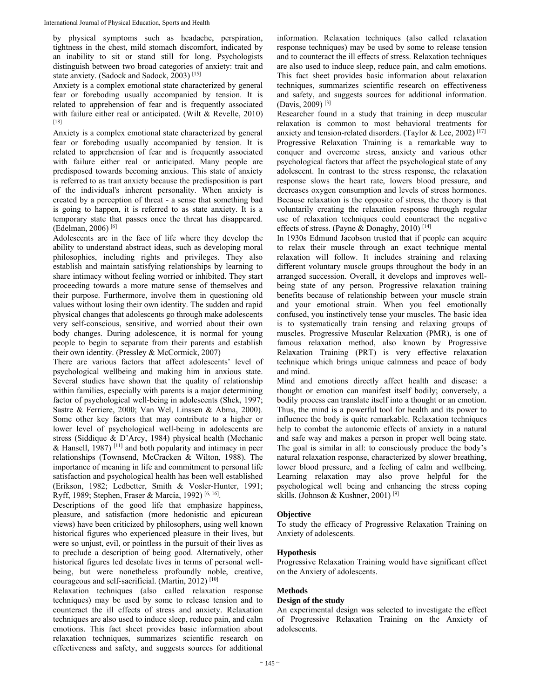by physical symptoms such as headache, perspiration, tightness in the chest, mild stomach discomfort, indicated by an inability to sit or stand still for long. Psychologists distinguish between two broad categories of anxiety: trait and state anxiety. (Sadock and Sadock, 2003) [15]

Anxiety is a complex emotional state characterized by general fear or foreboding usually accompanied by tension. It is related to apprehension of fear and is frequently associated with failure either real or anticipated. (Wilt & Revelle, 2010) [18]

Anxiety is a complex emotional state characterized by general fear or foreboding usually accompanied by tension. It is related to apprehension of fear and is frequently associated with failure either real or anticipated. Many people are predisposed towards becoming anxious. This state of anxiety is referred to as trait anxiety because the predisposition is part of the individual's inherent personality. When anxiety is created by a perception of threat - a sense that something bad is going to happen, it is referred to as state anxiety. It is a temporary state that passes once the threat has disappeared. (Edelman, 2006) [6]

Adolescents are in the face of life where they develop the ability to understand abstract ideas, such as developing moral philosophies, including rights and privileges. They also establish and maintain satisfying relationships by learning to share intimacy without feeling worried or inhibited. They start proceeding towards a more mature sense of themselves and their purpose. Furthermore, involve them in questioning old values without losing their own identity. The sudden and rapid physical changes that adolescents go through make adolescents very self-conscious, sensitive, and worried about their own body changes. During adolescence, it is normal for young people to begin to separate from their parents and establish their own identity. (Pressley & McCormick, 2007)

There are various factors that affect adolescents' level of psychological wellbeing and making him in anxious state. Several studies have shown that the quality of relationship within families, especially with parents is a major determining factor of psychological well-being in adolescents (Shek, 1997; Sastre & Ferriere, 2000; Van Wel, Linssen & Abma, 2000). Some other key factors that may contribute to a higher or lower level of psychological well-being in adolescents are stress (Siddique & D'Arcy, 1984) physical health (Mechanic & Hansell, 1987)  $[11]$  and both popularity and intimacy in peer relationships (Townsend, McCracken & Wilton, 1988). The importance of meaning in life and commitment to personal life satisfaction and psychological health has been well established (Erikson, 1982; Ledbetter, Smith & Vosler-Hunter, 1991; Ryff, 1989; Stephen, Fraser & Marcia, 1992) [6, 16].

Descriptions of the good life that emphasize happiness, pleasure, and satisfaction (more hedonistic and epicurean views) have been criticized by philosophers, using well known historical figures who experienced pleasure in their lives, but were so unjust, evil, or pointless in the pursuit of their lives as to preclude a description of being good. Alternatively, other historical figures led desolate lives in terms of personal wellbeing, but were nonetheless profoundly noble, creative, courageous and self-sacrificial. (Martin, 2012) [10]

Relaxation techniques (also called relaxation response techniques) may be used by some to release tension and to counteract the ill effects of stress and anxiety. Relaxation techniques are also used to induce sleep, reduce pain, and calm emotions. This fact sheet provides basic information about relaxation techniques, summarizes scientific research on effectiveness and safety, and suggests sources for additional

information. Relaxation techniques (also called relaxation response techniques) may be used by some to release tension and to counteract the ill effects of stress. Relaxation techniques are also used to induce sleep, reduce pain, and calm emotions. This fact sheet provides basic information about relaxation techniques, summarizes scientific research on effectiveness and safety, and suggests sources for additional information. (Davis, 2009) [3]

Researcher found in a study that training in deep muscular relaxation is common to most behavioral treatments for anxiety and tension-related disorders. (Taylor & Lee, 2002)<sup>[17]</sup> Progressive Relaxation Training is a remarkable way to conquer and overcome stress, anxiety and various other psychological factors that affect the psychological state of any adolescent. In contrast to the stress response, the relaxation response slows the heart rate, lowers blood pressure, and decreases oxygen consumption and levels of stress hormones. Because relaxation is the opposite of stress, the theory is that voluntarily creating the relaxation response through regular use of relaxation techniques could counteract the negative effects of stress. (Payne & Donaghy, 2010)<sup>[14]</sup>

In 1930s Edmund Jacobson trusted that if people can acquire to relax their muscle through an exact technique mental relaxation will follow. It includes straining and relaxing different voluntary muscle groups throughout the body in an arranged succession. Overall, it develops and improves wellbeing state of any person. Progressive relaxation training benefits because of relationship between your muscle strain and your emotional strain. When you feel emotionally confused, you instinctively tense your muscles. The basic idea is to systematically train tensing and relaxing groups of muscles. Progressive Muscular Relaxation (PMR), is one of famous relaxation method, also known by Progressive Relaxation Training (PRT) is very effective relaxation technique which brings unique calmness and peace of body and mind.

Mind and emotions directly affect health and disease: a thought or emotion can manifest itself bodily; conversely, a bodily process can translate itself into a thought or an emotion. Thus, the mind is a powerful tool for health and its power to influence the body is quite remarkable. Relaxation techniques help to combat the autonomic effects of anxiety in a natural and safe way and makes a person in proper well being state. The goal is similar in all: to consciously produce the body's natural relaxation response, characterized by slower breathing, lower blood pressure, and a feeling of calm and wellbeing. Learning relaxation may also prove helpful for the psychological well being and enhancing the stress coping skills. (Johnson & Kushner, 2001)<sup>[9]</sup>

# **Objective**

To study the efficacy of Progressive Relaxation Training on Anxiety of adolescents.

## **Hypothesis**

Progressive Relaxation Training would have significant effect on the Anxiety of adolescents.

### **Methods**

## **Design of the study**

An experimental design was selected to investigate the effect of Progressive Relaxation Training on the Anxiety of adolescents.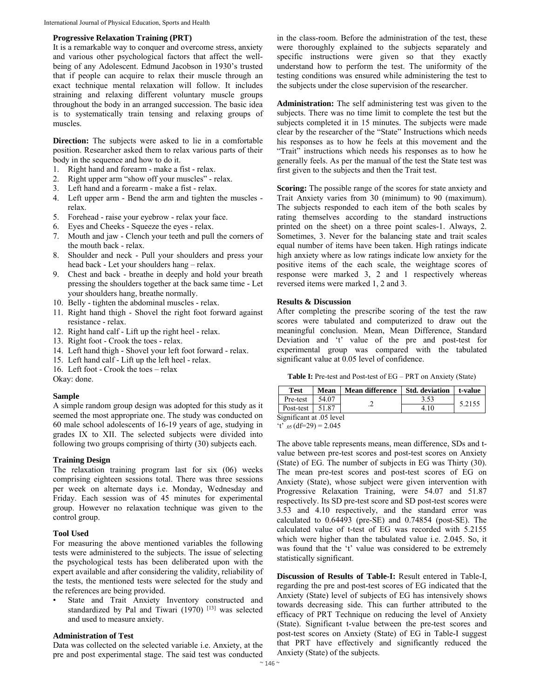### **Progressive Relaxation Training (PRT)**

It is a remarkable way to conquer and overcome stress, anxiety and various other psychological factors that affect the wellbeing of any Adolescent. Edmund Jacobson in 1930's trusted that if people can acquire to relax their muscle through an exact technique mental relaxation will follow. It includes straining and relaxing different voluntary muscle groups throughout the body in an arranged succession. The basic idea is to systematically train tensing and relaxing groups of muscles.

**Direction:** The subjects were asked to lie in a comfortable position. Researcher asked them to relax various parts of their body in the sequence and how to do it.

- 1. Right hand and forearm make a fist relax.
- 2. Right upper arm "show off your muscles" relax.
- 3. Left hand and a forearm make a fist relax.
- 4. Left upper arm Bend the arm and tighten the muscles relax.
- 5. Forehead raise your eyebrow relax your face.
- 6. Eyes and Cheeks Squeeze the eyes relax.
- 7. Mouth and jaw Clench your teeth and pull the corners of the mouth back - relax.
- 8. Shoulder and neck Pull your shoulders and press your head back - Let your shoulders hang – relax.
- 9. Chest and back breathe in deeply and hold your breath pressing the shoulders together at the back same time - Let your shoulders hang, breathe normally.
- 10. Belly tighten the abdominal muscles relax.
- 11. Right hand thigh Shovel the right foot forward against resistance - relax.
- 12. Right hand calf Lift up the right heel relax.
- 13. Right foot Crook the toes relax.
- 14. Left hand thigh Shovel your left foot forward relax.
- 15. Left hand calf Lift up the left heel relax.
- 16. Left foot Crook the toes relax

Okay: done.

#### **Sample**

A simple random group design was adopted for this study as it seemed the most appropriate one. The study was conducted on 60 male school adolescents of 16-19 years of age, studying in grades IX to XII. The selected subjects were divided into following two groups comprising of thirty (30) subjects each.

#### **Training Design**

The relaxation training program last for six (06) weeks comprising eighteen sessions total. There was three sessions per week on alternate days i.e. Monday, Wednesday and Friday. Each session was of 45 minutes for experimental group. However no relaxation technique was given to the control group.

#### **Tool Used**

For measuring the above mentioned variables the following tests were administered to the subjects. The issue of selecting the psychological tests has been deliberated upon with the expert available and after considering the validity, reliability of the tests, the mentioned tests were selected for the study and the references are being provided.

State and Trait Anxiety Inventory constructed and standardized by Pal and Tiwari (1970)<sup>[13]</sup> was selected and used to measure anxiety.

### **Administration of Test**

Data was collected on the selected variable i.e. Anxiety, at the pre and post experimental stage. The said test was conducted in the class-room. Before the administration of the test, these were thoroughly explained to the subjects separately and specific instructions were given so that they exactly understand how to perform the test. The uniformity of the testing conditions was ensured while administering the test to the subjects under the close supervision of the researcher.

**Administration:** The self administering test was given to the subjects. There was no time limit to complete the test but the subjects completed it in 15 minutes. The subjects were made clear by the researcher of the "State" Instructions which needs his responses as to how he feels at this movement and the "Trait" instructions which needs his responses as to how he generally feels. As per the manual of the test the State test was first given to the subjects and then the Trait test.

**Scoring:** The possible range of the scores for state anxiety and Trait Anxiety varies from 30 (minimum) to 90 (maximum). The subjects responded to each item of the both scales by rating themselves according to the standard instructions printed on the sheet) on a three point scales-1. Always, 2. Sometimes, 3. Never for the balancing state and trait scales equal number of items have been taken. High ratings indicate high anxiety where as low ratings indicate low anxiety for the positive items of the each scale, the weightage scores of response were marked 3, 2 and 1 respectively whereas reversed items were marked 1, 2 and 3.

#### **Results & Discussion**

After completing the prescribe scoring of the test the raw scores were tabulated and computerized to draw out the meaningful conclusion. Mean, Mean Difference, Standard Deviation and 't' value of the pre and post-test for experimental group was compared with the tabulated significant value at 0.05 level of confidence.

Table I: Pre-test and Post-test of EG – PRT on Anxiety (State)

| Test                     | Mean  | Mean difference Std. deviation t-value |      |        |  |  |
|--------------------------|-------|----------------------------------------|------|--------|--|--|
| Pre-test                 | 54.07 |                                        |      | 5.2155 |  |  |
| Post-test $\vert$ 51.87  |       |                                        | 4.10 |        |  |  |
| Significant at .05 level |       |                                        |      |        |  |  |

 $t_{0.05}$  (df=29) = 2.045

The above table represents means, mean difference, SDs and tvalue between pre-test scores and post-test scores on Anxiety (State) of EG. The number of subjects in EG was Thirty (30). The mean pre-test scores and post-test scores of EG on Anxiety (State), whose subject were given intervention with Progressive Relaxation Training, were 54.07 and 51.87 respectively. Its SD pre-test score and SD post-test scores were 3.53 and 4.10 respectively, and the standard error was calculated to 0.64493 (pre-SE) and 0.74854 (post-SE). The calculated value of t-test of EG was recorded with 5.2155 which were higher than the tabulated value i.e. 2.045. So, it was found that the 't' value was considered to be extremely statistically significant.

**Discussion of Results of Table-I:** Result entered in Table-I, regarding the pre and post-test scores of EG indicated that the Anxiety (State) level of subjects of EG has intensively shows towards decreasing side. This can further attributed to the efficacy of PRT Technique on reducing the level of Anxiety (State). Significant t-value between the pre-test scores and post-test scores on Anxiety (State) of EG in Table-I suggest that PRT have effectively and significantly reduced the Anxiety (State) of the subjects.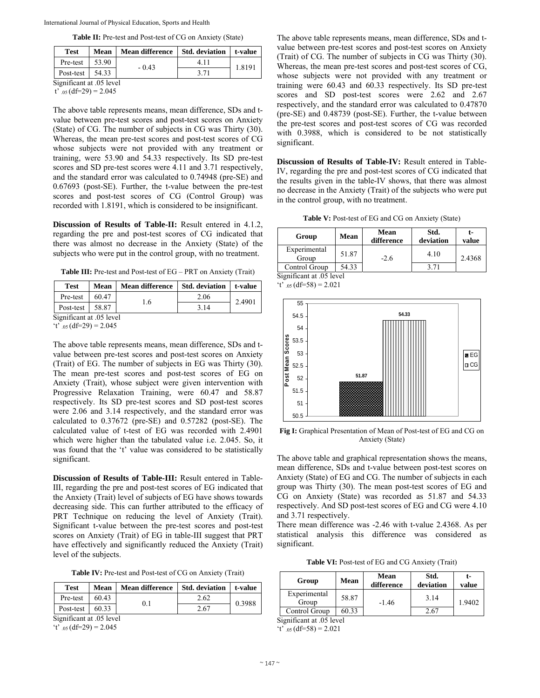|  | Table II: Pre-test and Post-test of CG on Anxiety (State) |  |  |  |  |
|--|-----------------------------------------------------------|--|--|--|--|
|--|-----------------------------------------------------------|--|--|--|--|

| <b>Test</b>              | Mean  | <b>Mean difference</b> | <b>Std. deviation</b> | t-value |  |  |  |
|--------------------------|-------|------------------------|-----------------------|---------|--|--|--|
| Pre-test                 | 53.90 | $-0.43$                | 4.11                  | 1.8191  |  |  |  |
| Post-test                | 54.33 |                        | 3.71                  |         |  |  |  |
| Significant at .05 level |       |                        |                       |         |  |  |  |

 $t_{.05}$  (df=29) = 2.045

The above table represents means, mean difference, SDs and tvalue between pre-test scores and post-test scores on Anxiety (State) of CG. The number of subjects in CG was Thirty (30). Whereas, the mean pre-test scores and post-test scores of CG whose subjects were not provided with any treatment or training, were 53.90 and 54.33 respectively. Its SD pre-test scores and SD pre-test scores were 4.11 and 3.71 respectively, and the standard error was calculated to 0.74948 (pre-SE) and 0.67693 (post-SE). Further, the t-value between the pre-test scores and post-test scores of CG (Control Group) was recorded with 1.8191, which is considered to be insignificant.

**Discussion of Results of Table-II:** Result entered in 4.1.2, regarding the pre and post-test scores of CG indicated that there was almost no decrease in the Anxiety (State) of the subjects who were put in the control group, with no treatment.

Table III: Pre-test and Post-test of EG – PRT on Anxiety (Trait)

| <b>Test</b>              | Mean  | <b>Mean difference</b> | Std. deviation | t-value |  |  |
|--------------------------|-------|------------------------|----------------|---------|--|--|
| Pre-test                 | 60.47 |                        | 2.06           | 2.4901  |  |  |
| Post-test                | 58.87 | 1.6                    | 3.14           |         |  |  |
| Significant at .05 level |       |                        |                |         |  |  |

't' .05  $(df=29) = 2.045$ 

The above table represents means, mean difference, SDs and tvalue between pre-test scores and post-test scores on Anxiety (Trait) of EG. The number of subjects in EG was Thirty (30). The mean pre-test scores and post-test scores of EG on Anxiety (Trait), whose subject were given intervention with Progressive Relaxation Training, were 60.47 and 58.87 respectively. Its SD pre-test scores and SD post-test scores were 2.06 and 3.14 respectively, and the standard error was calculated to 0.37672 (pre-SE) and 0.57282 (post-SE). The calculated value of t-test of EG was recorded with 2.4901 which were higher than the tabulated value i.e. 2.045. So, it was found that the 't' value was considered to be statistically significant.

**Discussion of Results of Table-III:** Result entered in Table-III, regarding the pre and post-test scores of EG indicated that the Anxiety (Trait) level of subjects of EG have shows towards decreasing side. This can further attributed to the efficacy of PRT Technique on reducing the level of Anxiety (Trait). Significant t-value between the pre-test scores and post-test scores on Anxiety (Trait) of EG in table-III suggest that PRT have effectively and significantly reduced the Anxiety (Trait) level of the subjects.

**Table IV:** Pre-test and Post-test of CG on Anxiety (Trait)

| Test      | Mean  | <b>Mean difference</b> | Std. deviation | t-value |
|-----------|-------|------------------------|----------------|---------|
| Pre-test  | 60.43 | 0.1                    | 2.62           | 0.3988  |
| Post-test | 60.33 |                        | 2.67           |         |

Significant at .05 level

't'  $_{.05}$  (df=29) = 2.045

The above table represents means, mean difference, SDs and tvalue between pre-test scores and post-test scores on Anxiety (Trait) of CG. The number of subjects in CG was Thirty (30). Whereas, the mean pre-test scores and post-test scores of CG, whose subjects were not provided with any treatment or training were 60.43 and 60.33 respectively. Its SD pre-test scores and SD post-test scores were 2.62 and 2.67 respectively, and the standard error was calculated to 0.47870 (pre-SE) and 0.48739 (post-SE). Further, the t-value between the pre-test scores and post-test scores of CG was recorded with 0.3988, which is considered to be not statistically significant.

**Discussion of Results of Table-IV:** Result entered in Table-IV, regarding the pre and post-test scores of CG indicated that the results given in the table-IV shows, that there was almost no decrease in the Anxiety (Trait) of the subjects who were put in the control group, with no treatment.

**Table V:** Post-test of EG and CG on Anxiety (State)

| Group                    | <b>Mean</b> | Mean<br>difference | Std.<br>deviation | value  |
|--------------------------|-------------|--------------------|-------------------|--------|
| Experimental<br>Group    | 51.87       | $-2.6$             | 4.10              | 2.4368 |
| Control Group            | 54.33       |                    | 3.71              |        |
| Significant at .05 level |             |                    |                   |        |

't'  $_{.05}$  (df=58) = 2.021

55 **54.33** 54.5 54 Post Mean Scores **Post Mean Scores** 53.5 53 **BEG** 52.5  $\Box$ CG **51.87** 52 51.5 51 50.5

**Fig I:** Graphical Presentation of Mean of Post-test of EG and CG on Anxiety (State)

The above table and graphical representation shows the means, mean difference, SDs and t-value between post-test scores on Anxiety (State) of EG and CG. The number of subjects in each group was Thirty (30). The mean post-test scores of EG and CG on Anxiety (State) was recorded as 51.87 and 54.33 respectively. And SD post-test scores of EG and CG were 4.10 and 3.71 respectively.

There mean difference was -2.46 with t-value 2.4368. As per statistical analysis this difference was considered as significant.

**Table VI:** Post-test of EG and CG Anxiety (Trait)

| Group                 | Mean  | <b>Mean</b><br>difference | Std.<br>deviation | value  |
|-----------------------|-------|---------------------------|-------------------|--------|
| Experimental<br>Group | 58.87 | $-1.46$                   | 3.14              | 1.9402 |
| Control Group         | 60.33 |                           | 2.67              |        |

Significant at .05 level

't'  $_{.05}$  (df=58) = 2.021